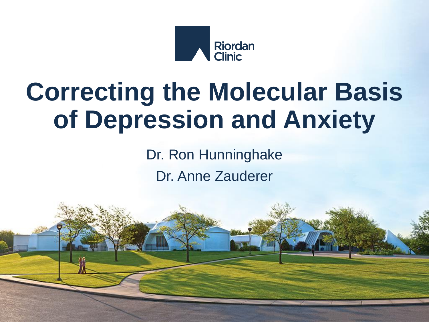

#### **Correcting the Molecular Basis of Depression and Anxiety**

Dr. Ron Hunninghake Dr. Anne Zauderer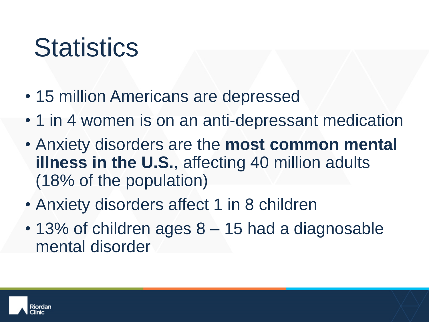# **Statistics**

- 15 million Americans are depressed
- 1 in 4 women is on an anti-depressant medication
- Anxiety disorders are the **most common mental illness in the U.S.**, affecting 40 million adults (18% of the population)
- Anxiety disorders affect 1 in 8 children
- 13% of children ages 8 15 had a diagnosable mental disorder

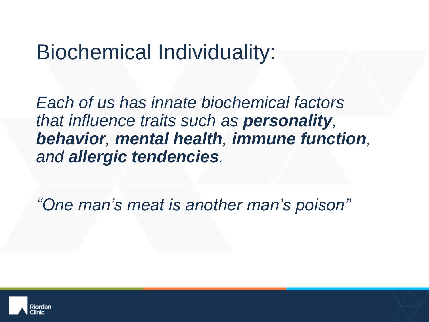#### Biochemical Individuality:

*Each of us has innate biochemical factors that influence traits such as personality, behavior, mental health, immune function, and allergic tendencies.*

*"One man's meat is another man's poison"*

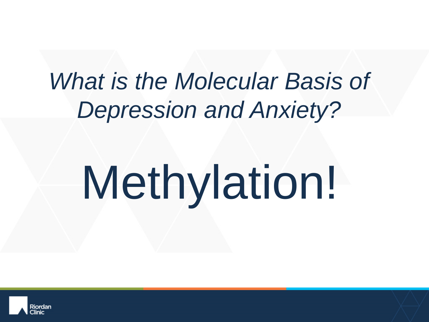#### *What is the Molecular Basis of Depression and Anxiety?*

# Methylation!

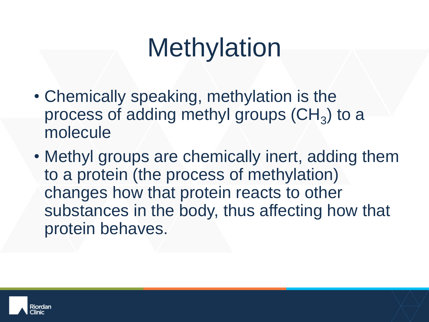# **Methylation**

- Chemically speaking, methylation is the process of adding methyl groups  $(\text{CH}_3)$  to a molecule
- Methyl groups are chemically inert, adding them to a protein (the process of methylation) changes how that protein reacts to other substances in the body, thus affecting how that protein behaves.

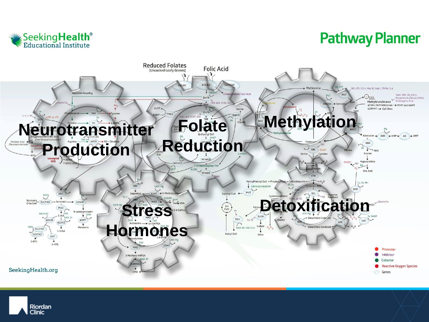

#### **Pathway Planner**



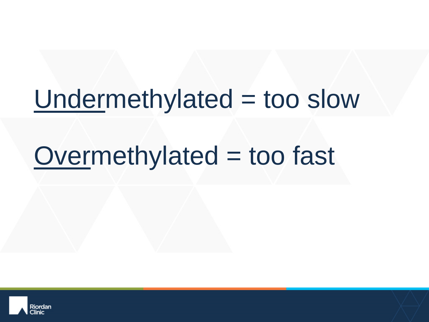#### Undermethylated = too slow

# $Overmethylated = too fast$

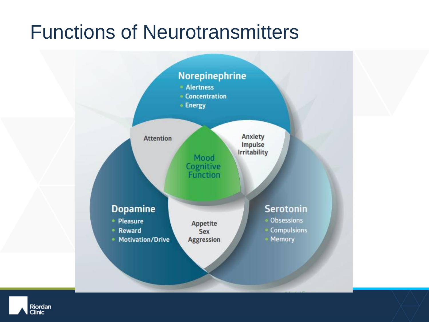#### Functions of Neurotransmitters



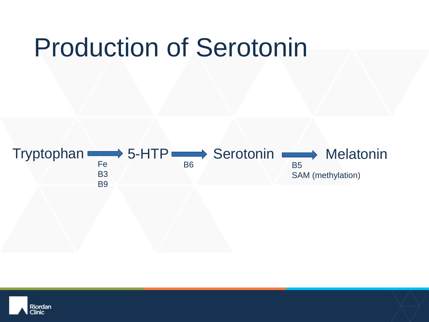### Production of Serotonin



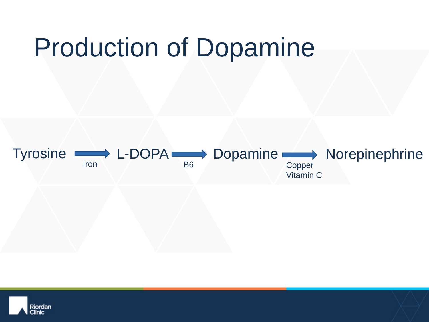### Production of Dopamine



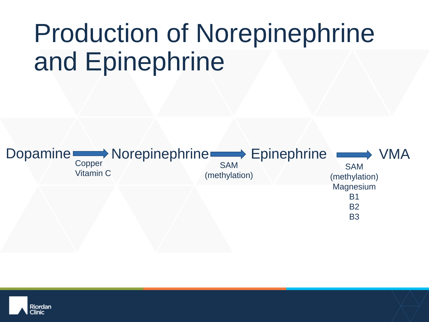# Production of Norepinephrine and Epinephrine



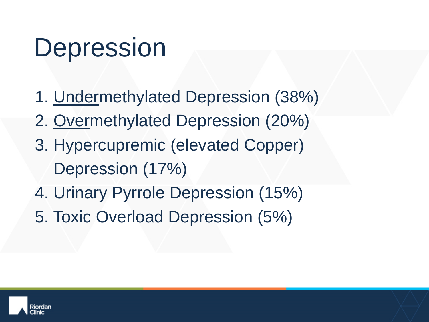# Depression

- 1. Undermethylated Depression (38%)
- 2. Overmethylated Depression (20%)
- 3. Hypercupremic (elevated Copper) Depression (17%)
- 4. Urinary Pyrrole Depression (15%)
- 5. Toxic Overload Depression (5%)

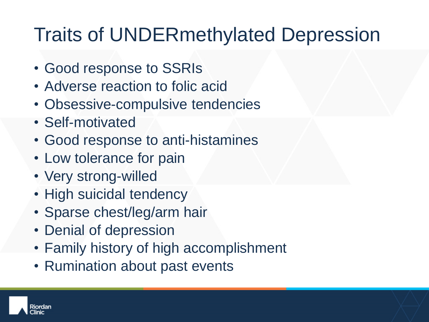#### Traits of UNDERmethylated Depression

- Good response to SSRIs
- Adverse reaction to folic acid
- Obsessive-compulsive tendencies
- Self-motivated
- Good response to anti-histamines
- Low tolerance for pain
- Very strong-willed
- High suicidal tendency
- Sparse chest/leg/arm hair
- Denial of depression
- Family history of high accomplishment
- Rumination about past events

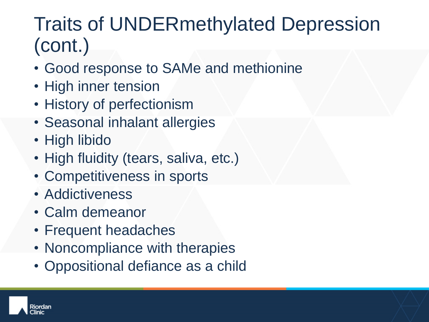#### Traits of UNDERmethylated Depression (cont.)

- Good response to SAMe and methionine
- High inner tension
- History of perfectionism
- Seasonal inhalant allergies
- High libido
- High fluidity (tears, saliva, etc.)
- Competitiveness in sports
- Addictiveness
- Calm demeanor
- Frequent headaches
- Noncompliance with therapies
- Oppositional defiance as a child

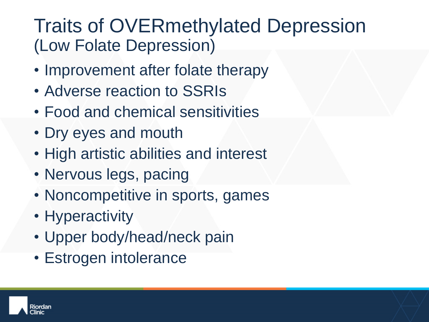#### Traits of OVERmethylated Depression (Low Folate Depression)

- Improvement after folate therapy
- Adverse reaction to SSRIs
- Food and chemical sensitivities
- Dry eyes and mouth
- High artistic abilities and interest
- Nervous legs, pacing
- Noncompetitive in sports, games
- Hyperactivity
- Upper body/head/neck pain
- Estrogen intolerance

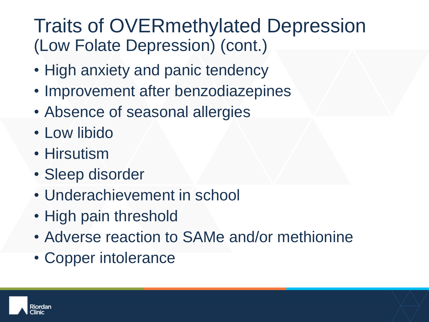#### Traits of OVERmethylated Depression (Low Folate Depression) (cont.)

- High anxiety and panic tendency
- Improvement after benzodiazepines
- Absence of seasonal allergies
- Low libido
- Hirsutism
- Sleep disorder
- Underachievement in school
- High pain threshold
- Adverse reaction to SAMe and/or methionine
- Copper intolerance

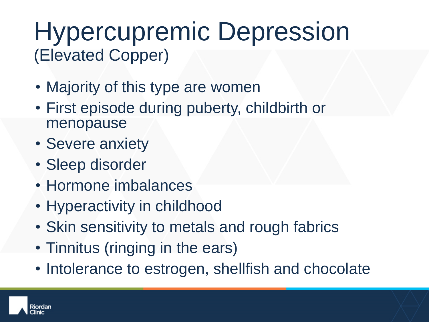#### Hypercupremic Depression (Elevated Copper)

- Majority of this type are women
- First episode during puberty, childbirth or menopause
- Severe anxiety
- Sleep disorder
- Hormone imbalances
- Hyperactivity in childhood
- Skin sensitivity to metals and rough fabrics
- Tinnitus (ringing in the ears)
- Intolerance to estrogen, shellfish and chocolate

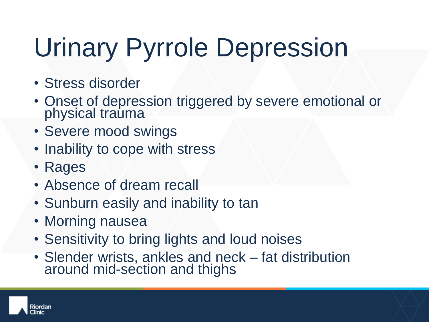# Urinary Pyrrole Depression

- Stress disorder
- Onset of depression triggered by severe emotional or physical trauma
- Severe mood swings
- Inability to cope with stress
- Rages
- Absence of dream recall
- Sunburn easily and inability to tan
- Morning nausea
- Sensitivity to bring lights and loud noises
- Slender wrists, ankles and neck fat distribution around mid-section and thighs

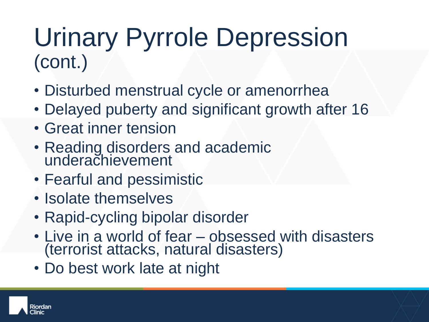#### Urinary Pyrrole Depression (cont.)

- Disturbed menstrual cycle or amenorrhea
- Delayed puberty and significant growth after 16
- Great inner tension
- Reading disorders and academic underachievement
- Fearful and pessimistic
- Isolate themselves
- Rapid-cycling bipolar disorder
- Live in a world of fear obsessed with disasters (terrorist attacks, natural disasters)
- Do best work late at night

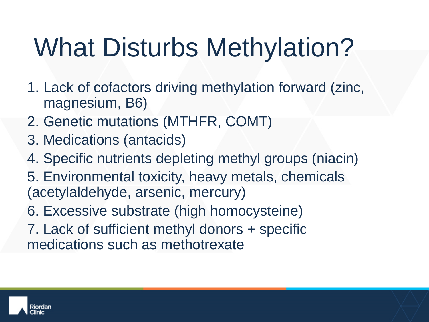# What Disturbs Methylation?

- 1. Lack of cofactors driving methylation forward (zinc, magnesium, B6)
- 2. Genetic mutations (MTHFR, COMT)
- 3. Medications (antacids)
- 4. Specific nutrients depleting methyl groups (niacin)
- 5. Environmental toxicity, heavy metals, chemicals (acetylaldehyde, arsenic, mercury)
- 6. Excessive substrate (high homocysteine)
- 7. Lack of sufficient methyl donors + specific medications such as methotrexate

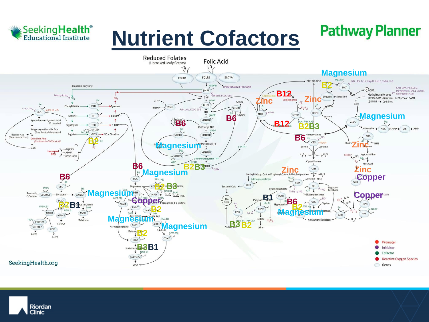

#### **Nutrient Cofactors**

#### **Pathway Planner**



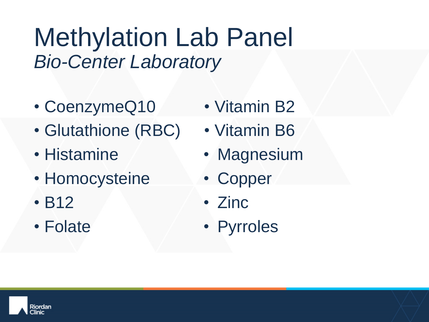Methylation Lab Panel *Bio-Center Laboratory* 

- CoenzymeQ10
- Glutathione (RBC)
- Histamine
- Homocysteine
- B12
- Folate
- Vitamin B2
- Vitamin B6
- Magnesium
- Copper
- Zinc
- Pyrroles

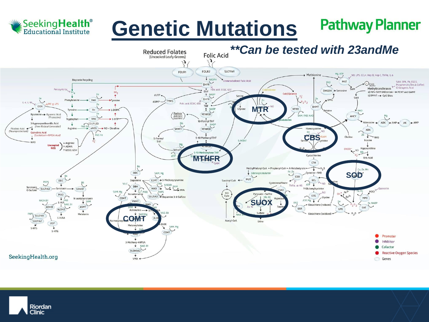

#### **Pathway Planner Genetic Mutations**



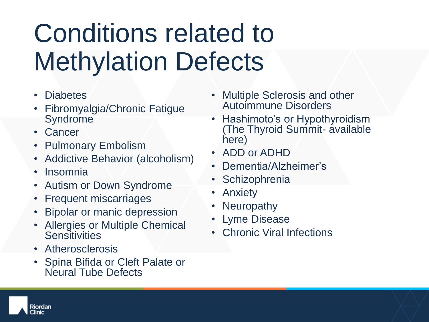# Conditions related to Methylation Defects

- **Diabetes**
- Fibromyalgia/Chronic Fatigue **Syndrome**
- Cancer
- Pulmonary Embolism
- Addictive Behavior (alcoholism)
- Insomnia
- Autism or Down Syndrome
- Frequent miscarriages
- Bipolar or manic depression
- Allergies or Multiple Chemical **Sensitivities**
- Atherosclerosis
- Spina Bifida or Cleft Palate or Neural Tube Defects
- Multiple Sclerosis and other Autoimmune Disorders
- Hashimoto's or Hypothyroidism (The Thyroid Summit- available here)
- ADD or ADHD
- Dementia/Alzheimer's
- **Schizophrenia**
- Anxiety
- **Neuropathy**
- Lyme Disease
- Chronic Viral Infections

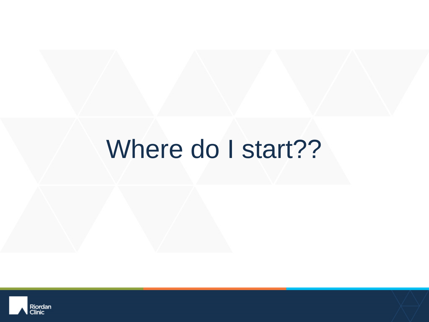#### Where do I start??

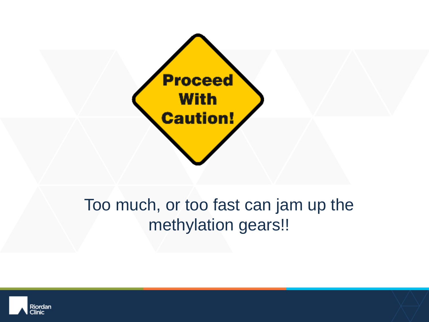

#### Too much, or too fast can jam up the methylation gears!!

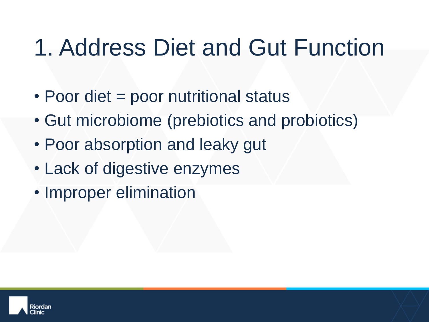#### 1. Address Diet and Gut Function

- Poor diet = poor nutritional status
- Gut microbiome (prebiotics and probiotics)
- Poor absorption and leaky gut
- Lack of digestive enzymes
- Improper elimination

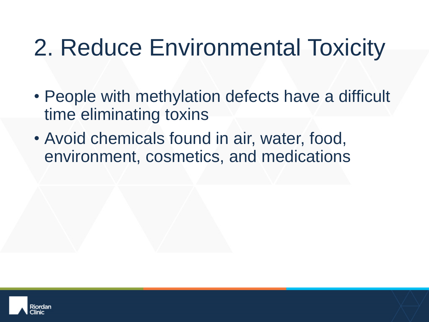#### 2. Reduce Environmental Toxicity

- People with methylation defects have a difficult time eliminating toxins
- Avoid chemicals found in air, water, food, environment, cosmetics, and medications

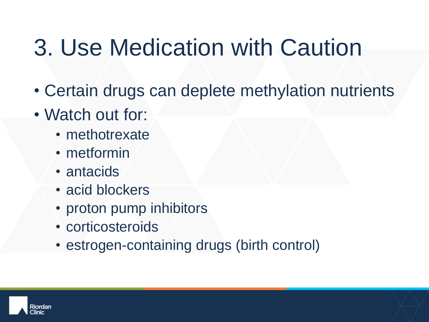#### 3. Use Medication with Caution

- Certain drugs can deplete methylation nutrients
- Watch out for:
	- methotrexate
	- metformin
	- antacids
	- acid blockers
	- proton pump inhibitors
	- corticosteroids
	- estrogen-containing drugs (birth control)

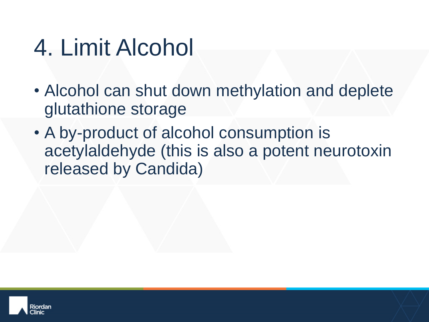#### 4. Limit Alcohol

- Alcohol can shut down methylation and deplete glutathione storage
- A by-product of alcohol consumption is acetylaldehyde (this is also a potent neurotoxin released by Candida)

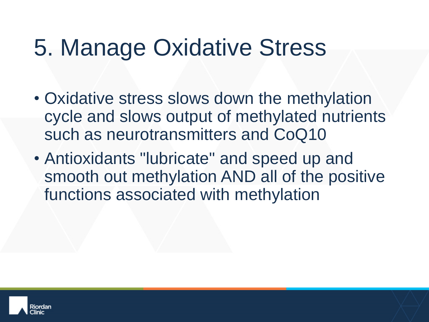#### 5. Manage Oxidative Stress

- Oxidative stress slows down the methylation cycle and slows output of methylated nutrients such as neurotransmitters and CoQ10
- Antioxidants "lubricate" and speed up and smooth out methylation AND all of the positive functions associated with methylation

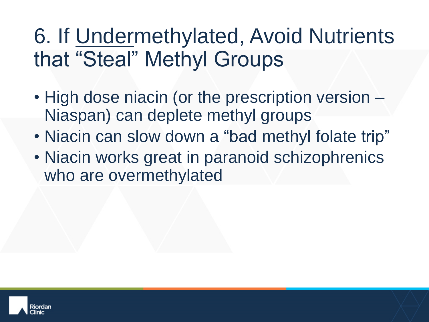#### 6. If Undermethylated, Avoid Nutrients that "Steal" Methyl Groups

- High dose niacin (or the prescription version Niaspan) can deplete methyl groups
- Niacin can slow down a "bad methyl folate trip"
- Niacin works great in paranoid schizophrenics who are overmethylated

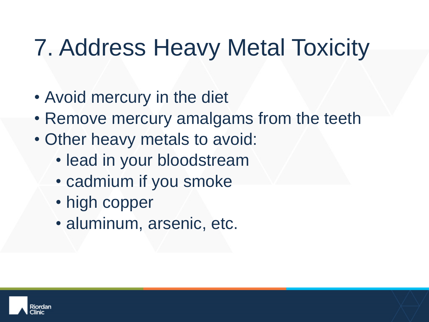#### 7. Address Heavy Metal Toxicity

- Avoid mercury in the diet
- Remove mercury amalgams from the teeth
- Other heavy metals to avoid:
	- lead in your bloodstream
	- cadmium if you smoke
	- high copper
	- aluminum, arsenic, etc.

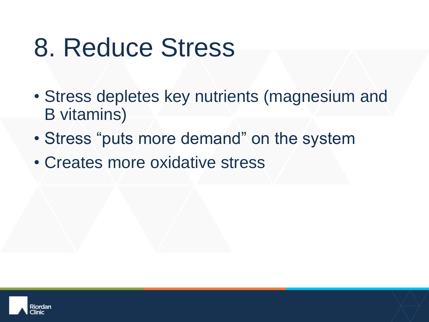# 8. Reduce Stress

- Stress depletes key nutrients (magnesium and B vitamins)
- Stress "puts more demand" on the system
- Creates more oxidative stress

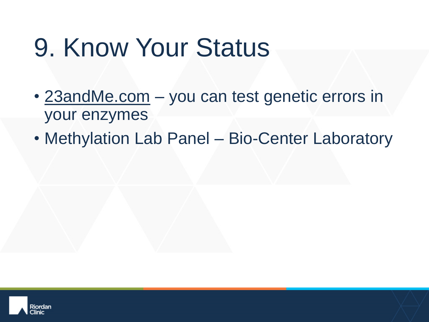# 9. Know Your Status

- 23andMe.com you can test genetic errors in your enzymes
- Methylation Lab Panel Bio-Center Laboratory

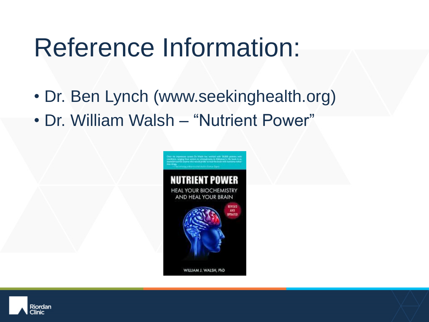### Reference Information:

- Dr. Ben Lynch (www.seekinghealth.org)
- Dr. William Walsh "Nutrient Power"